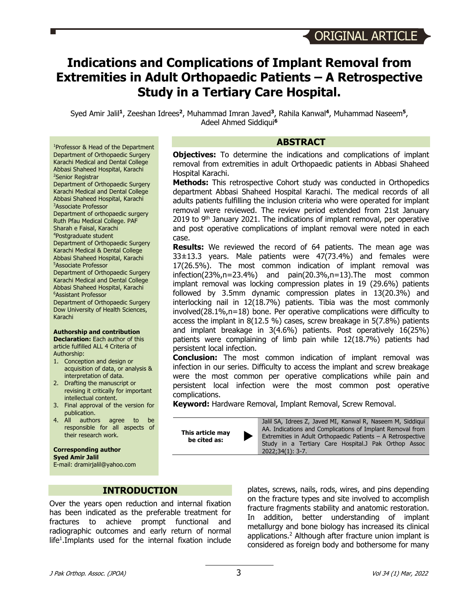# **Indications and Complications of Implant Removal from Extremities in Adult Orthopaedic Patients – A Retrospective Study in a Tertiary Care Hospital.**

Syed Amir Jalil**<sup>1</sup>**, Zeeshan Idrees**<sup>2</sup>**, Muhammad Imran Javed**<sup>3</sup>**, Rahila Kanwal**<sup>4</sup>**, Muhammad Naseem**<sup>5</sup>**, Adeel Ahmed Siddiqui**<sup>6</sup>**

**ABSTRACT**

**Objectives:** To determine the indications and complications of implant removal from extremities in adult Orthopaedic patients in Abbasi Shaheed Hospital Karachi.

**Methods:** This retrospective Cohort study was conducted in Orthopedics department Abbasi Shaheed Hospital Karachi. The medical records of all adults patients fulfilling the inclusion criteria who were operated for implant removal were reviewed. The review period extended from 21st January 2019 to  $9<sup>th</sup>$  January 2021. The indications of implant removal, per operative and post operative complications of implant removal were noted in each case.

**Results:** We reviewed the record of 64 patients. The mean age was 33±13.3 years. Male patients were 47(73.4%) and females were 17(26.5%). The most common indication of implant removal was infection(23%,n=23.4%) and pain(20.3%,n=13).The most common implant removal was locking compression plates in 19 (29.6%) patients followed by 3.5mm dynamic compression plates in 13(20.3%) and interlocking nail in 12(18.7%) patients. Tibia was the most commonly involved(28.1%,n=18) bone. Per operative complications were difficulty to access the implant in 8(12.5 %) cases, screw breakage in 5(7.8%) patients and implant breakage in 3(4.6%) patients. Post operatively 16(25%) patients were complaining of limb pain while 12(18.7%) patients had persistent local infection.

**Conclusion:** The most common indication of implant removal was infection in our series. Difficulty to access the implant and screw breakage were the most common per operative complications while pain and persistent local infection were the most common post operative complications.

**Keyword:** Hardware Removal, Implant Removal, Screw Removal.

**This article may be cited as:** 

Jalil SA, Idrees Z, Javed MI, Kanwal R, Naseem M, Siddiqui AA. Indications and Complications of Implant Removal from Extremities in Adult Orthopaedic Patients – A Retrospective Study in a Tertiary Care Hospital.J Pak Orthop Assoc 2022;34(1): 3-7.

Karachi Medical and Dental College Abbasi Shaheed Hospital, Karachi 2 Senior Registrar Department of Orthopaedic Surgery Karachi Medical and Dental College Abbasi Shaheed Hospital, Karachi 3 Associate Professor Department of orthopaedic surgery Ruth Pfau Medical College. PAF Sharah e Faisal, Karachi 4 Postgraduate student Department of Orthopaedic Surgery Karachi Medical & Dental College Abbasi Shaheed Hospital, Karachi 5 Associate Professor Department of Orthopaedic Surgery Karachi Medical and Dental College Abbasi Shaheed Hospital, Karachi 6 Assistant Professor Department of Orthopaedic Surgery Dow University of Health Sciences, Karachi

1 Professor & Head of the Department Department of Orthopaedic Surgery

#### **Authorship and contribution**

**Declaration:** Each author of this article fulfilled ALL 4 Criteria of Authorship:

- 1. Conception and design or acquisition of data, or analysis & interpretation of data.
- 2. Drafting the manuscript or revising it critically for important intellectual content.
- 3. Final approval of the version for publication.
- 4. All authors agree to be responsible for all aspects of their research work.

**Corresponding author Syed Amir Jalil**

E-mail: dramirjalil@yahoo.com

**INTRODUCTION**

Over the years open reduction and internal fixation has been indicated as the preferable treatment for fractures to achieve prompt functional and radiographic outcomes and early return of normal life<sup>1</sup>. Implants used for the internal fixation include

plates, screws, nails, rods, wires, and pins depending on the fracture types and site involved to accomplish fracture fragments stability and anatomic restoration. In addition, better understanding of implant metallurgy and bone biology has increased its clinical applications. <sup>2</sup> Although after fracture union implant is considered as foreign body and bothersome for many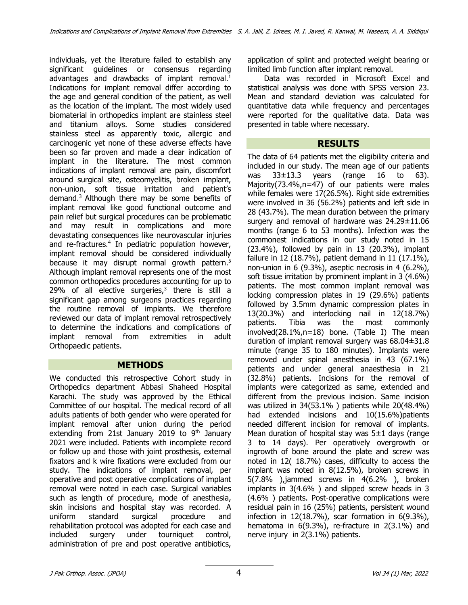individuals, yet the literature failed to establish any significant guidelines or consensus regarding advantages and drawbacks of implant removal.<sup>1</sup> Indications for implant removal differ according to the age and general condition of the patient, as well as the location of the implant. The most widely used biomaterial in orthopedics implant are stainless steel and titanium alloys. Some studies considered stainless steel as apparently toxic, allergic and carcinogenic yet none of these adverse effects have been so far proven and made a clear indication of implant in the literature. The most common indications of implant removal are pain, discomfort around surgical site, osteomyelitis, broken implant, non-union, soft tissue irritation and patient's demand. <sup>3</sup> Although there may be some benefits of implant removal like good functional outcome and pain relief but surgical procedures can be problematic and may result in complications and more devastating consequences like neurovascular injuries and re-fractures. <sup>4</sup> In pediatric population however, implant removal should be considered individually because it may disrupt normal growth pattern.<sup>5</sup> Although implant removal represents one of the most common orthopedics procedures accounting for up to 29% of all elective surgeries, $3$  there is still a significant gap among surgeons practices regarding the routine removal of implants. We therefore reviewed our data of implant removal retrospectively to determine the indications and complications of implant removal from extremities in adult Orthopaedic patients.

#### **METHODS**

We conducted this retrospective Cohort study in Orthopedics department Abbasi Shaheed Hospital Karachi. The study was approved by the Ethical Committee of our hospital. The medical record of all adults patients of both gender who were operated for implant removal after union during the period extending from 21st January 2019 to  $9<sup>th</sup>$  January 2021 were included. Patients with incomplete record or follow up and those with joint prosthesis, external fixators and k wire fixations were excluded from our study. The indications of implant removal, per operative and post operative complications of implant removal were noted in each case. Surgical variables such as length of procedure, mode of anesthesia, skin incisions and hospital stay was recorded. A uniform standard surgical procedure and rehabilitation protocol was adopted for each case and included surgery under tourniquet control, administration of pre and post operative antibiotics,

application of splint and protected weight bearing or limited limb function after implant removal.

Data was recorded in Microsoft Excel and statistical analysis was done with SPSS version 23. Mean and standard deviation was calculated for quantitative data while frequency and percentages were reported for the qualitative data. Data was presented in table where necessary.

### **RESULTS**

The data of 64 patients met the eligibility criteria and included in our study. The mean age of our patients was 33±13.3 years (range 16 to 63). Majority(73.4%,n=47) of our patients were males while females were 17(26.5%). Right side extremities were involved in 36 (56.2%) patients and left side in 28 (43.7%). The mean duration between the primary surgery and removal of hardware was 24.29±11.06 months (range 6 to 53 months). Infection was the commonest indications in our study noted in 15 (23.4%), followed by pain in 13 (20.3%), implant failure in 12 (18.7%), patient demand in 11 (17.1%), non-union in 6 (9.3%), aseptic necrosis in 4 (6.2%), soft tissue irritation by prominent implant in 3 (4.6%) patients. The most common implant removal was locking compression plates in 19 (29.6%) patients followed by 3.5mm dynamic compression plates in 13(20.3%) and interlocking nail in 12(18.7%) patients. Tibia was the most commonly involved(28.1%,n=18) bone. (Table I) The mean duration of implant removal surgery was 68.04±31.8 minute (range 35 to 180 minutes). Implants were removed under spinal anesthesia in 43 (67.1%) patients and under general anaesthesia in 21 (32.8%) patients. Incisions for the removal of implants were categorized as same, extended and different from the previous incision. Same incision was utilized in 34(53.1% ) patients while 20(48.4%) had extended incisions and 10(15.6%)patients needed different incision for removal of implants. Mean duration of hospital stay was  $5\pm1$  days (range 3 to 14 days). Per operatively overgrowth or ingrowth of bone around the plate and screw was noted in 12( 18.7%) cases, difficulty to access the implant was noted in 8(12.5%), broken screws in 5(7.8% ),jammed screws in 4(6.2% ), broken implants in 3(4.6% ) and slipped screw heads in 3 (4.6% ) patients. Post-operative complications were residual pain in 16 (25%) patients, persistent wound infection in 12(18.7%), scar formation in 6(9.3%), hematoma in 6(9.3%), re-fracture in 2(3.1%) and nerve injury in 2(3.1%) patients.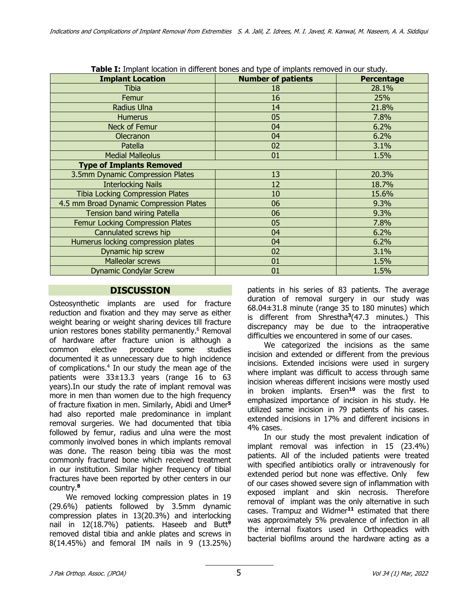| <b>Table I:</b> Implant location in different bones and type of implants removed in our study. |                           |                   |
|------------------------------------------------------------------------------------------------|---------------------------|-------------------|
| <b>Implant Location</b>                                                                        | <b>Number of patients</b> | <b>Percentage</b> |
| Tibia                                                                                          | 18                        | 28.1%             |
| Femur                                                                                          | 16                        | <b>25%</b>        |
| Radius Ulna                                                                                    | 14                        | 21.8%             |
| <b>Humerus</b>                                                                                 | 05                        | 7.8%              |
| Neck of Femur                                                                                  | 04                        | 6.2%              |
| Olecranon                                                                                      | 04                        | 6.2%              |
| Patella                                                                                        | 02                        | 3.1%              |
| <b>Medial Malleolus</b>                                                                        | 01                        | 1.5%              |
| <b>Type of Implants Removed</b>                                                                |                           |                   |
| 3.5mm Dynamic Compression Plates                                                               | 13                        | 20.3%             |
| <b>Interlocking Nails</b>                                                                      | 12                        | 18.7%             |
| <b>Tibia Locking Compression Plates</b>                                                        | 10                        | 15.6%             |
| 4.5 mm Broad Dynamic Compression Plates                                                        | 06                        | 9.3%              |
| Tension band wiring Patella                                                                    | 06                        | 9.3%              |
| Femur Locking Compression Plates                                                               | 05                        | 7.8%              |
| Cannulated screws hip                                                                          | 04                        | 6.2%              |
| Humerus locking compression plates                                                             | 04                        | 6.2%              |
| Dynamic hip screw                                                                              | 02                        | 3.1%              |
| Malleolar screws                                                                               | 01                        | 1.5%              |
| <b>Dynamic Condylar Screw</b>                                                                  | 01                        | 1.5%              |

**Table I:** Implant location in different bones and type of implants removed in our study.

### **DISCUSSION**

Osteosynthetic implants are used for fracture reduction and fixation and they may serve as either weight bearing or weight sharing devices till fracture union restores bones stability permanently. <sup>6</sup> Removal of hardware after fracture union is although a common elective procedure some studies documented it as unnecessary due to high incidence of complications. <sup>4</sup> In our study the mean age of the patients were 33±13.3 years (range 16 to 63 years).In our study the rate of implant removal was more in men than women due to the high frequency of fracture fixation in men. Similarly, Abidi and Umer**<sup>5</sup>** had also reported male predominance in implant removal surgeries. We had documented that tibia followed by femur, radius and ulna were the most commonly involved bones in which implants removal was done. The reason being tibia was the most commonly fractured bone which received treatment in our institution. Similar higher frequency of tibial fractures have been reported by other centers in our country.**<sup>8</sup>**

We removed locking compression plates in 19 (29.6%) patients followed by 3.5mm dynamic compression plates in 13(20.3%) and interlocking nail in 12(18.7%) patients. Haseeb and Butt**<sup>9</sup>** removed distal tibia and ankle plates and screws in 8(14.45%) and femoral IM nails in 9 (13.25%) patients in his series of 83 patients. The average duration of removal surgery in our study was 68.04±31.8 minute (range 35 to 180 minutes) which is different from Shrestha**<sup>3</sup>**(47.3 minutes.) This discrepancy may be due to the intraoperative difficulties we encountered in some of our cases.

We categorized the incisions as the same incision and extended or different from the previous incisions. Extended incisions were used in surgery where implant was difficult to access through same incision whereas different incisions were mostly used in broken implants. Ersen**<sup>10</sup>** was the first to emphasized importance of incision in his study. He utilized same incision in 79 patients of his cases. extended incisions in 17% and different incisions in 4% cases.

In our study the most prevalent indication of implant removal was infection in 15 (23.4%) patients. All of the included patients were treated with specified antibiotics orally or intravenously for extended period but none was effective. Only few of our cases showed severe sign of inflammation with exposed implant and skin necrosis. Therefore removal of implant was the only alternative in such cases. Trampuz and Widmer**<sup>11</sup>** estimated that there was approximately 5% prevalence of infection in all the internal fixators used in Orthopeadics with bacterial biofilms around the hardware acting as a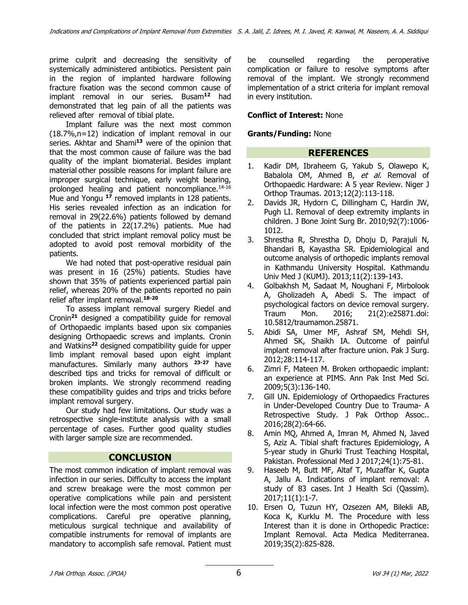prime culprit and decreasing the sensitivity of systemically administered antibiotics. Persistent pain in the region of implanted hardware following fracture fixation was the second common cause of implant removal in our series. Busam**<sup>12</sup>** had demonstrated that leg pain of all the patients was relieved after removal of tibial plate.

Implant failure was the next most common (18.7%,n=12) indication of implant removal in our series. Akhtar and Shami**<sup>13</sup>** were of the opinion that that the most common cause of failure was the bad quality of the implant biomaterial. Besides implant material other possible reasons for implant failure are improper surgical technique, early weight bearing, prolonged healing and patient noncompliance.<sup>14-16</sup> Mue and Yongu **<sup>17</sup>** removed implants in 128 patients. His series revealed infection as an indication for removal in 29(22.6%) patients followed by demand of the patients in 22(17.2%) patients. Mue had concluded that strict implant removal policy must be adopted to avoid post removal morbidity of the patients.

We had noted that post-operative residual pain was present in 16 (25%) patients. Studies have shown that 35% of patients experienced partial pain relief, whereas 20% of the patients reported no pain relief after implant removal.**18-20**

To assess implant removal surgery Riedel and Cronin**<sup>21</sup>** designed a compatibility guide for removal of Orthopaedic implants based upon six companies designing Orthopaedic screws and implants. Cronin and Watkins**<sup>22</sup>** designed compatibility guide for upper limb implant removal based upon eight implant manufactures. Similarly many authors **23-27** have described tips and tricks for removal of difficult or broken implants. We strongly recommend reading these compatibility guides and trips and tricks before implant removal surgery.

Our study had few limitations. Our study was a retrospective single-institute analysis with a small percentage of cases. Further good quality studies with larger sample size are recommended.

# **CONCLUSION**

The most common indication of implant removal was infection in our series. Difficulty to access the implant and screw breakage were the most common per operative complications while pain and persistent local infection were the most common post operative complications. Careful pre operative planning, meticulous surgical technique and availability of compatible instruments for removal of implants are mandatory to accomplish safe removal. Patient must be counselled regarding the peroperative complication or failure to resolve symptoms after removal of the implant. We strongly recommend implementation of a strict criteria for implant removal in every institution.

#### **Conflict of Interest:** None

#### **Grants/Funding:** None

# **REFERENCES**

- 1. Kadir DM, Ibraheem G, Yakub S, Olawepo K, Babalola OM, Ahmed B, et al. Removal of Orthopaedic Hardware: A 5 year Review. Niger J Orthop Traumas. 2013;12(2):113-118.
- 2. Davids JR, Hydorn C, Dillingham C, Hardin JW, Pugh LI. Removal of deep extremity implants in children. J Bone Joint Surg Br. 2010;92(7):1006- 1012.
- 3. Shrestha R, Shrestha D, Dhoju D, Parajuli N, Bhandari B, Kayastha SR. Epidemiological and outcome analysis of orthopedic implants removal in Kathmandu University Hospital. Kathmandu Univ Med J (KUMJ). 2013;11(2):139-143.
- 4. Golbakhsh M, Sadaat M, Noughani F, Mirbolook A, Gholizadeh A, Abedi S. The impact of psychological factors on device removal surgery. Traum Mon. 2016; 21(2):e25871.doi: 10.5812/traumamon.25871.
- 5. Abidi SA, Umer MF, Ashraf SM, Mehdi SH, Ahmed SK, Shaikh IA. Outcome of painful implant removal after fracture union. Pak J Surg. 2012;28:114-117.
- 6. Zimri F, Mateen M. Broken orthopaedic implant: an experience at PIMS. Ann Pak Inst Med Sci. 2009;5(3):136-140.
- 7. Gill UN. Epidemiology of Orthopaedics Fractures in Under-Developed Country Due to Trauma- A Retrospective Study. J Pak Orthop Assoc.. 2016;28(2):64-66.
- 8. Amin MQ, Ahmed A, Imran M, Ahmed N, Javed S, Aziz A. Tibial shaft fractures Epidemiology, A 5-year study in Ghurki Trust Teaching Hospital, Pakistan. Professional Med J 2017;24(1):75-81.
- 9. Haseeb M, Butt MF, Altaf T, Muzaffar K, Gupta A, Jallu A. Indications of implant removal: A study of 83 cases. Int J Health Sci (Qassim). 2017;11(1):1-7.
- 10. Ersen O, Tuzun HY, Ozsezen AM, Bilekli AB, Koca K, Kurklu M. The Procedure with less Interest than it is done in Orthopedic Practice: Implant Removal. Acta Medica Mediterranea. 2019;35(2):825-828.